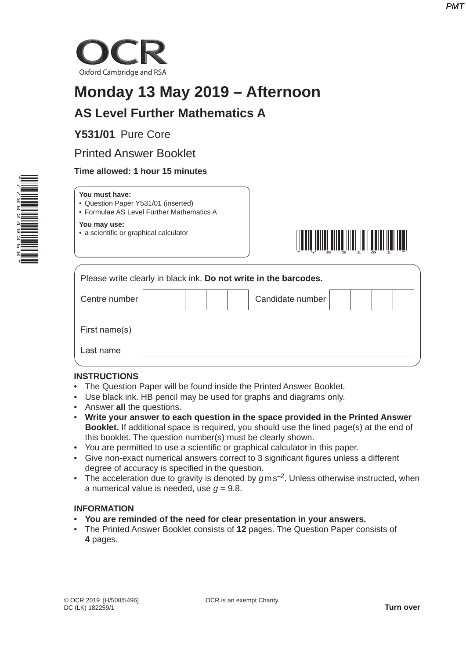

# **Monday 13 May 2019 – Afternoon**

## **AS Level Further Mathematics A**

### **Y531/01** Pure Core

### Printed Answer Booklet

#### **Time allowed: 1 hour 15 minutes**



| You must have:                            |
|-------------------------------------------|
| • Question Paper Y531/01 (inserted)       |
| • Formulae AS Level Further Mathematics A |
|                                           |

**You may use:** • a scientific or graphical calculator



|               |  | Please write clearly in black ink. Do not write in the barcodes. |  |  |
|---------------|--|------------------------------------------------------------------|--|--|
| Centre number |  | Candidate number                                                 |  |  |
| First name(s) |  |                                                                  |  |  |
| Last name     |  |                                                                  |  |  |

#### **INSTRUCTIONS**

- The Question Paper will be found inside the Printed Answer Booklet.
- Use black ink. HB pencil may be used for graphs and diagrams only.
- Answer **all** the questions.
- **Write your answer to each question in the space provided in the Printed Answer Booklet.** If additional space is required, you should use the lined page(s) at the end of this booklet. The question number(s) must be clearly shown.
- You are permitted to use a scientific or graphical calculator in this paper.
- Give non-exact numerical answers correct to 3 significant figures unless a different degree of accuracy is specified in the question.
- The acceleration due to gravity is denoted by  $qms^{-2}$ . Unless otherwise instructed, when a numerical value is needed, use  $q = 9.8$ .

#### **INFORMATION**

- **You are reminded of the need for clear presentation in your answers.**
- The Printed Answer Booklet consists of **12** pages. The Question Paper consists of **4** pages.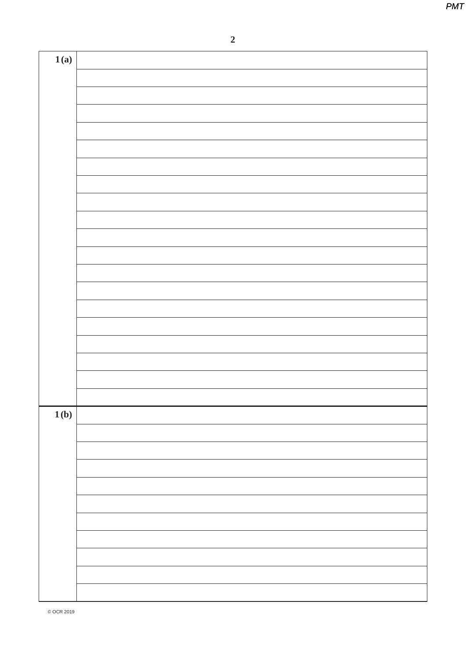| 1(a) |  |
|------|--|
|      |  |
|      |  |
|      |  |
|      |  |
|      |  |
|      |  |
|      |  |
|      |  |
|      |  |
|      |  |
|      |  |
|      |  |
|      |  |
|      |  |
|      |  |
|      |  |
|      |  |
|      |  |
|      |  |
|      |  |
|      |  |
| 1(b) |  |
|      |  |
|      |  |
|      |  |
|      |  |
|      |  |
|      |  |
|      |  |
|      |  |
|      |  |
|      |  |
|      |  |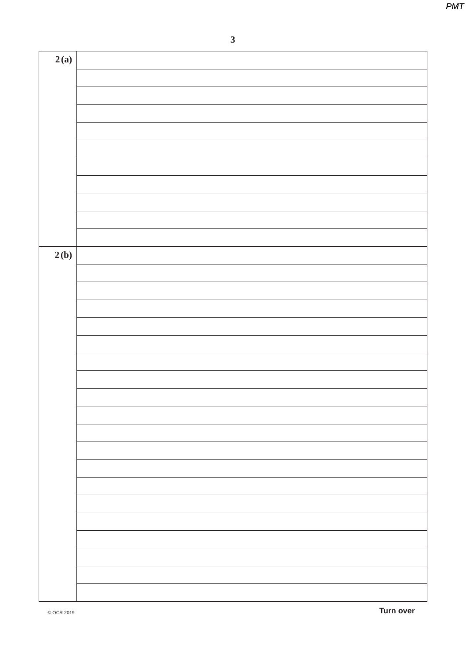| 2(b) | 2(a) |  |
|------|------|--|
|      |      |  |
|      |      |  |
|      |      |  |
|      |      |  |
|      |      |  |
|      |      |  |
|      |      |  |
|      |      |  |
|      |      |  |
|      |      |  |
|      |      |  |
|      |      |  |
|      |      |  |
|      |      |  |
|      |      |  |
|      |      |  |
|      |      |  |
|      |      |  |
|      |      |  |
|      |      |  |
|      |      |  |
|      |      |  |
|      |      |  |
|      |      |  |
|      |      |  |
|      |      |  |
|      |      |  |
|      |      |  |
|      |      |  |
|      |      |  |
|      |      |  |
|      |      |  |
|      |      |  |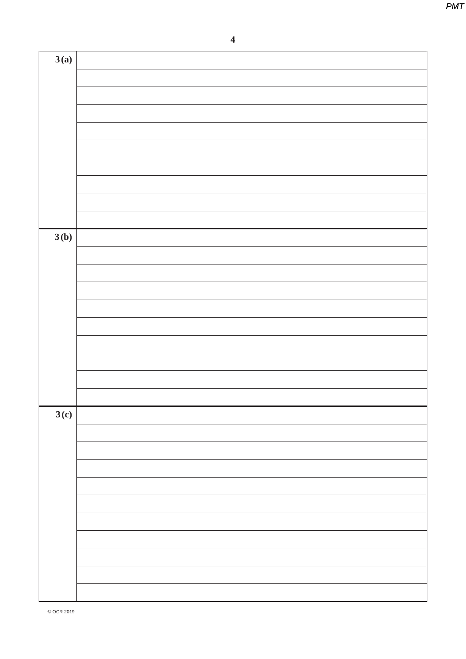**4**

| 3(a) |  |
|------|--|
|      |  |
|      |  |
|      |  |
|      |  |
|      |  |
|      |  |
|      |  |
|      |  |
|      |  |
|      |  |
| 3(b) |  |
|      |  |
|      |  |
|      |  |
|      |  |
|      |  |
|      |  |
|      |  |
|      |  |
|      |  |
| 3(c) |  |
|      |  |
|      |  |
|      |  |
|      |  |
|      |  |
|      |  |
|      |  |
|      |  |
|      |  |
|      |  |
|      |  |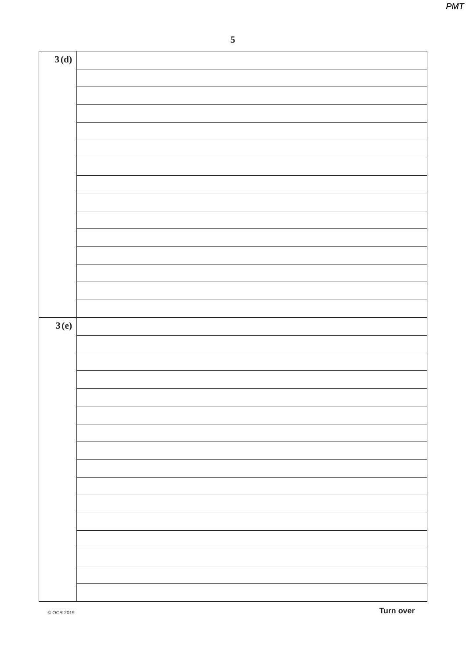| 3(d) |  |
|------|--|
|      |  |
|      |  |
|      |  |
|      |  |
|      |  |
|      |  |
|      |  |
|      |  |
|      |  |
|      |  |
|      |  |
|      |  |
|      |  |
|      |  |
| 3(e) |  |
|      |  |
|      |  |
|      |  |
|      |  |
|      |  |
|      |  |
|      |  |
|      |  |
|      |  |
|      |  |
|      |  |
|      |  |
|      |  |
|      |  |
|      |  |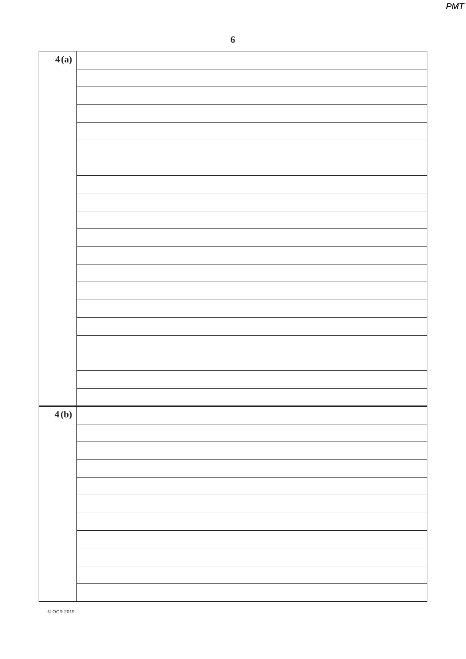|   | ۰,<br>٠<br>۰.<br>۰. |  |
|---|---------------------|--|
|   | ٦                   |  |
| × | I<br>۱<br>ł<br>۰.   |  |
|   |                     |  |

| 4(a) |  |
|------|--|
|      |  |
|      |  |
|      |  |
|      |  |
|      |  |
|      |  |
|      |  |
|      |  |
|      |  |
|      |  |
|      |  |
|      |  |
|      |  |
|      |  |
|      |  |
|      |  |
|      |  |
|      |  |
|      |  |
|      |  |
| 4(b) |  |
|      |  |
|      |  |
|      |  |
|      |  |
|      |  |
|      |  |
|      |  |
|      |  |
|      |  |
|      |  |
|      |  |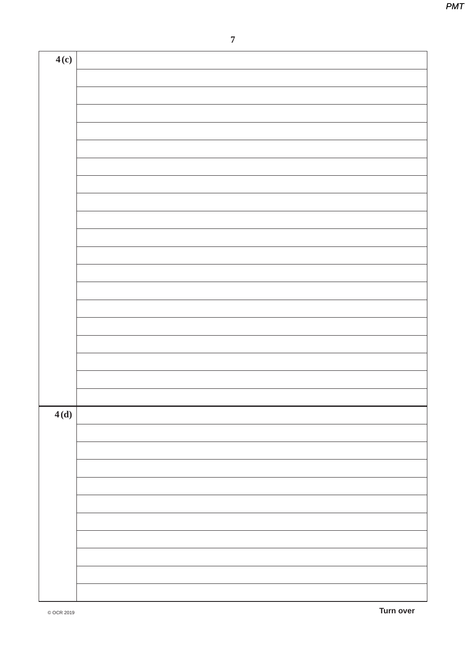| 4(c) |  |
|------|--|
|      |  |
|      |  |
|      |  |
|      |  |
|      |  |
|      |  |
|      |  |
|      |  |
|      |  |
|      |  |
|      |  |
|      |  |
|      |  |
|      |  |
|      |  |
|      |  |
|      |  |
|      |  |
|      |  |
|      |  |
| 4(d) |  |
|      |  |
|      |  |
|      |  |
|      |  |
|      |  |
|      |  |
|      |  |
|      |  |
|      |  |
|      |  |
|      |  |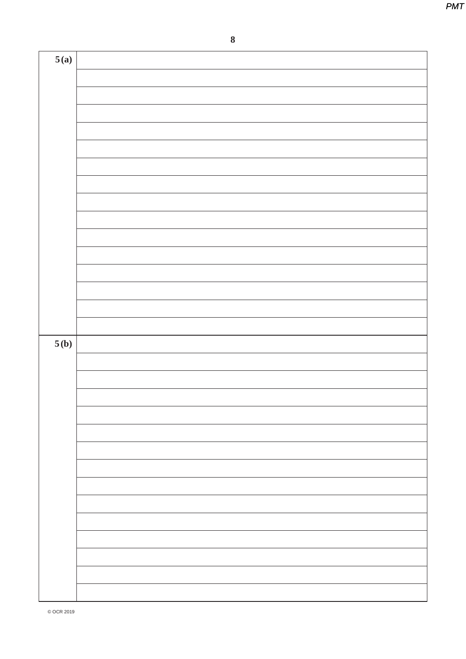8

| 5(a) |  |
|------|--|
|      |  |
|      |  |
|      |  |
|      |  |
|      |  |
|      |  |
|      |  |
|      |  |
|      |  |
|      |  |
|      |  |
|      |  |
|      |  |
|      |  |
|      |  |
|      |  |
|      |  |
|      |  |
| 5(b) |  |
|      |  |
|      |  |
|      |  |
|      |  |
|      |  |
|      |  |
|      |  |
|      |  |
|      |  |
|      |  |
|      |  |
|      |  |
|      |  |
|      |  |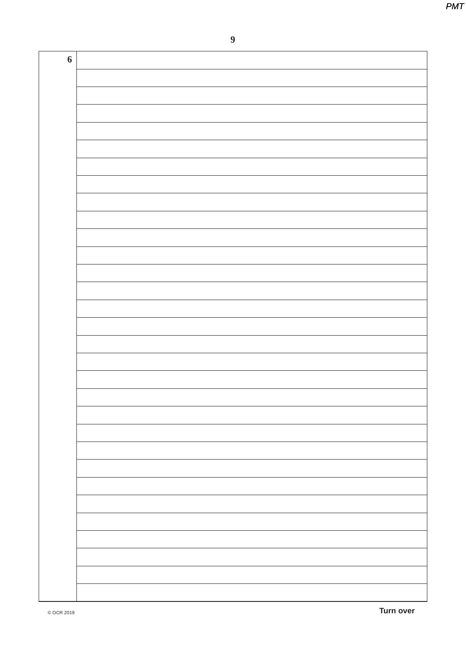$\boldsymbol{9}$ 

| 6 |  |
|---|--|
|   |  |
|   |  |
|   |  |
|   |  |
|   |  |
|   |  |
|   |  |
|   |  |
|   |  |
|   |  |
|   |  |
|   |  |
|   |  |
|   |  |
|   |  |
|   |  |
|   |  |
|   |  |
|   |  |
|   |  |
|   |  |
|   |  |
|   |  |
|   |  |
|   |  |
|   |  |
|   |  |
|   |  |
|   |  |
|   |  |
|   |  |
|   |  |
|   |  |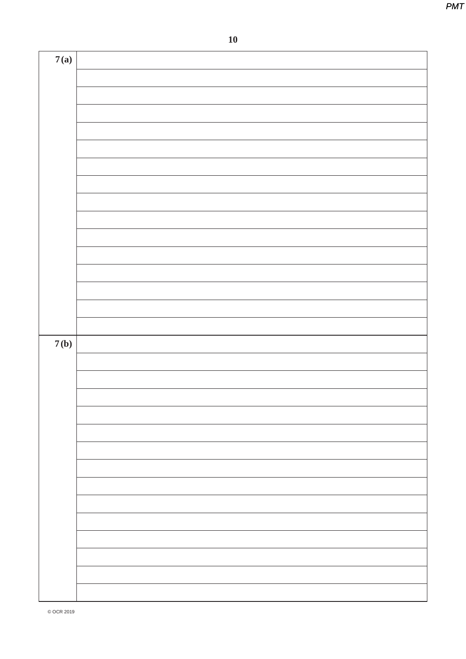| 7(a) |  |
|------|--|
|      |  |
|      |  |
|      |  |
|      |  |
|      |  |
|      |  |
|      |  |
|      |  |
|      |  |
|      |  |
|      |  |
|      |  |
|      |  |
|      |  |
|      |  |
|      |  |
|      |  |
|      |  |
|      |  |
|      |  |
|      |  |
|      |  |
|      |  |
|      |  |
|      |  |
|      |  |
|      |  |
|      |  |
|      |  |
|      |  |
|      |  |
|      |  |
|      |  |
| 7(b) |  |
|      |  |
|      |  |
|      |  |
|      |  |
|      |  |
|      |  |
|      |  |
|      |  |
|      |  |
|      |  |
|      |  |
|      |  |
|      |  |
|      |  |
|      |  |
|      |  |
|      |  |
|      |  |
|      |  |
|      |  |
|      |  |
|      |  |
|      |  |
|      |  |
|      |  |
|      |  |
|      |  |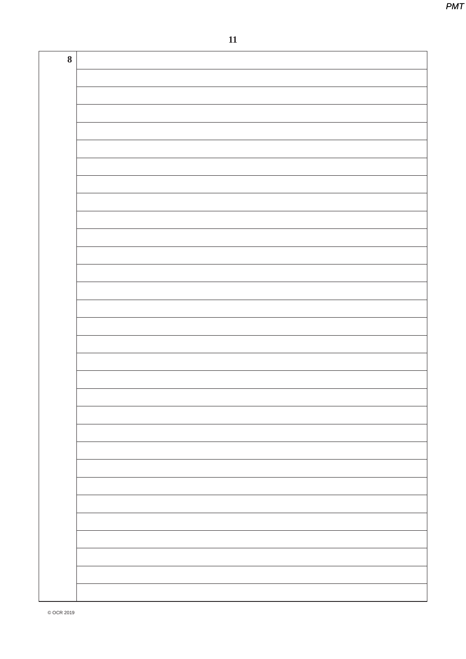$11$ 

| $\boldsymbol{8}$ |  |
|------------------|--|
|                  |  |
|                  |  |
|                  |  |
|                  |  |
|                  |  |
|                  |  |
|                  |  |
|                  |  |
|                  |  |
|                  |  |
|                  |  |
|                  |  |
|                  |  |
|                  |  |
|                  |  |
|                  |  |
|                  |  |
|                  |  |
|                  |  |
|                  |  |
|                  |  |
|                  |  |
|                  |  |
|                  |  |
|                  |  |
|                  |  |
|                  |  |
|                  |  |
|                  |  |
|                  |  |
|                  |  |
|                  |  |
|                  |  |
|                  |  |
|                  |  |